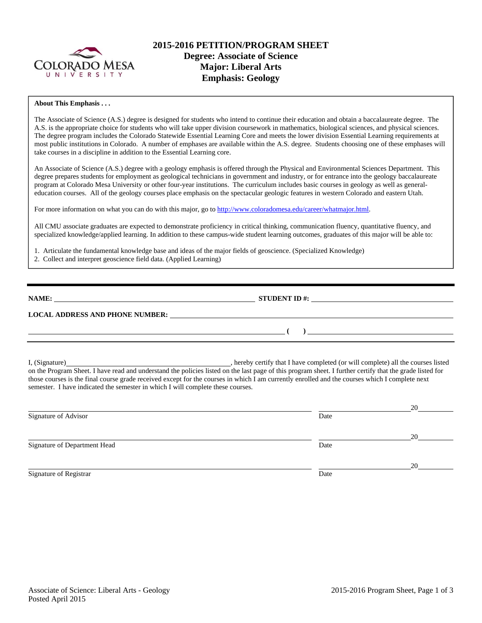

## **2015-2016 PETITION/PROGRAM SHEET Degree: Associate of Science Major: Liberal Arts Emphasis: Geology**

#### **About This Emphasis . . .**

The Associate of Science (A.S.) degree is designed for students who intend to continue their education and obtain a baccalaureate degree. The A.S. is the appropriate choice for students who will take upper division coursework in mathematics, biological sciences, and physical sciences. The degree program includes the Colorado Statewide Essential Learning Core and meets the lower division Essential Learning requirements at most public institutions in Colorado. A number of emphases are available within the A.S. degree. Students choosing one of these emphases will take courses in a discipline in addition to the Essential Learning core.

An Associate of Science (A.S.) degree with a geology emphasis is offered through the Physical and Environmental Sciences Department. This degree prepares students for employment as geological technicians in government and industry, or for entrance into the geology baccalaureate program at Colorado Mesa University or other four-year institutions. The curriculum includes basic courses in geology as well as generaleducation courses. All of the geology courses place emphasis on the spectacular geologic features in western Colorado and eastern Utah.

For more information on what you can do with this major, go to http://www.coloradomesa.edu/career/whatmajor.html.

All CMU associate graduates are expected to demonstrate proficiency in critical thinking, communication fluency, quantitative fluency, and specialized knowledge/applied learning. In addition to these campus-wide student learning outcomes, graduates of this major will be able to:

1. Articulate the fundamental knowledge base and ideas of the major fields of geoscience. (Specialized Knowledge)

2. Collect and interpret geoscience field data. (Applied Learning)

**NAME: STUDENT ID #: STUDENT ID #: STUDENT ID #: STUDENT ID #: STUDENT ID #: STUDENT ID #: STUDENT ID #: STUDENT ID #: STUDENT ID #: STUDENT ID #: STUDENT ID #: STUDENT ID #: STUDENT ID #: STUDE** 

 **( )** 

### **LOCAL ADDRESS AND PHONE NUMBER:**

I, (Signature) , hereby certify that I have completed (or will complete) all the courses listed on the Program Sheet. I have read and understand the policies listed on the last page of this program sheet. I further certify that the grade listed for those courses is the final course grade received except for the courses in which I am currently enrolled and the courses which I complete next semester. I have indicated the semester in which I will complete these courses.

|                              |      | 20 |
|------------------------------|------|----|
| Signature of Advisor         | Date |    |
|                              |      | 20 |
| Signature of Department Head | Date |    |
|                              |      | 20 |
| Signature of Registrar       | Date |    |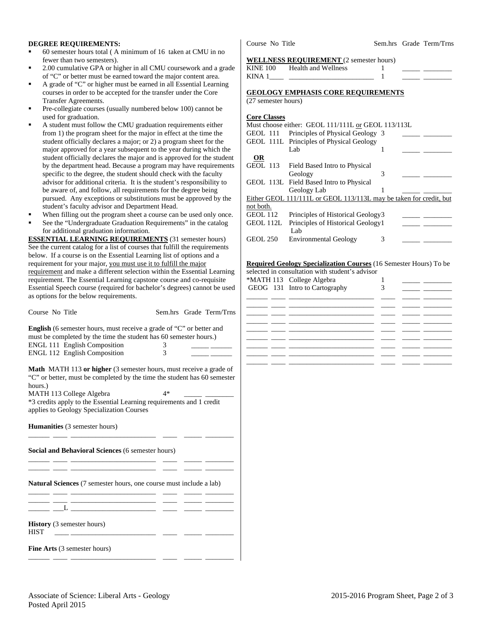#### **DEGREE REQUIREMENTS:**

- 60 semester hours total ( A minimum of 16 taken at CMU in no fewer than two semesters).
- 2.00 cumulative GPA or higher in all CMU coursework and a grade of "C" or better must be earned toward the major content area.
- A grade of "C" or higher must be earned in all Essential Learning courses in order to be accepted for the transfer under the Core Transfer Agreements.
- Pre-collegiate courses (usually numbered below 100) cannot be used for graduation.
- A student must follow the CMU graduation requirements either from 1) the program sheet for the major in effect at the time the student officially declares a major; or 2) a program sheet for the major approved for a year subsequent to the year during which the student officially declares the major and is approved for the student by the department head. Because a program may have requirements specific to the degree, the student should check with the faculty advisor for additional criteria. It is the student's responsibility to be aware of, and follow, all requirements for the degree being pursued. Any exceptions or substitutions must be approved by the student's faculty advisor and Department Head.
- When filling out the program sheet a course can be used only once.
- See the "Undergraduate Graduation Requirements" in the catalog for additional graduation information.

**ESSENTIAL LEARNING REQUIREMENTS** (31 semester hours) See the current catalog for a list of courses that fulfill the requirements below. If a course is on the Essential Learning list of options and a requirement for your major, you must use it to fulfill the major requirement and make a different selection within the Essential Learning requirement. The Essential Learning capstone course and co-requisite Essential Speech course (required for bachelor's degrees) cannot be used as options for the below requirements.

| <b>English</b> (6 semester hours, must receive a grade of "C" or better and |   |  |
|-----------------------------------------------------------------------------|---|--|
| must be completed by the time the student has 60 semester hours.)           |   |  |
| <b>ENGL 111 English Composition</b>                                         | 3 |  |
| <b>ENGL 112 English Composition</b>                                         | 3 |  |

Course No Title Sem.hrs Grade Term/Trns

**Math** MATH 113 **or higher** (3 semester hours, must receive a grade of "C" or better, must be completed by the time the student has 60 semester hours.)

MATH 113 College Algebra 4\* \*3 credits apply to the Essential Learning requirements and 1 credit applies to Geology Specialization Courses

\_\_\_\_\_\_ \_\_\_\_ \_\_\_\_\_\_\_\_\_\_\_\_\_\_\_\_\_\_\_\_\_\_\_\_ \_\_\_\_ \_\_\_\_\_ \_\_\_\_\_\_\_\_

\_\_\_\_\_\_ \_\_\_\_ \_\_\_\_\_\_\_\_\_\_\_\_\_\_\_\_\_\_\_\_\_\_\_\_ \_\_\_\_ \_\_\_\_\_ \_\_\_\_\_\_\_\_ \_\_\_\_\_\_ \_\_\_\_ \_\_\_\_\_\_\_\_\_\_\_\_\_\_\_\_\_\_\_\_\_\_\_\_ \_\_\_\_ \_\_\_\_\_ \_\_\_\_\_\_\_\_

**Humanities** (3 semester hours)

**Social and Behavioral Sciences** (6 semester hours)

**Natural Sciences** (7 semester hours, one course must include a lab)

| <b>HIST</b> | <b>History</b> (3 semester hours) |  |  |  |
|-------------|-----------------------------------|--|--|--|

**Fine Arts** (3 semester hours) \_\_\_\_\_\_ \_\_\_\_ \_\_\_\_\_\_\_\_\_\_\_\_\_\_\_\_\_\_\_\_\_\_\_\_ \_\_\_\_ \_\_\_\_\_ \_\_\_\_\_\_\_\_

Course No Title Sem.hrs Grade Term/Trns

#### **WELLNESS REQUIREMENT** (2 semester hours)

| <b>KINE 100</b> | <b>Health and Wellness</b> |  |  |
|-----------------|----------------------------|--|--|
| KINA 1          |                            |  |  |

# **GEOLOGY EMPHASIS CORE REQUIREMENTS**

(27 semester hours)

#### **Core Classes**

|                 | Must choose either: GEOL 111/111L or GEOL 113/113L                 |   |  |
|-----------------|--------------------------------------------------------------------|---|--|
| GEOL 111        | Principles of Physical Geology 3                                   |   |  |
|                 | GEOL 111L Principles of Physical Geology                           |   |  |
|                 | Lab                                                                |   |  |
| OR              |                                                                    |   |  |
|                 | GEOL 113 Field Based Intro to Physical                             |   |  |
|                 | Geology                                                            | 3 |  |
|                 | GEOL 113L Field Based Intro to Physical                            |   |  |
|                 | Geology Lab                                                        |   |  |
|                 | Either GEOL 111/111L or GEOL 113/113L may be taken for credit, but |   |  |
| not both.       |                                                                    |   |  |
| <b>GEOL 112</b> | Principles of Historical Geology3                                  |   |  |
| GEOL 112L       | Principles of Historical Geology 1                                 |   |  |
|                 | Lab                                                                |   |  |
| <b>GEOL 250</b> | Environmental Geology                                              | 3 |  |

### **Required Geology Specialization Courses** (16 Semester Hours) To be

|  | selected in consultation with student's advisor<br>*MATH 113 College Algebra |  |  |
|--|------------------------------------------------------------------------------|--|--|
|  | GEOG 131 Intro to Cartography                                                |  |  |
|  |                                                                              |  |  |
|  |                                                                              |  |  |
|  |                                                                              |  |  |
|  |                                                                              |  |  |
|  |                                                                              |  |  |
|  |                                                                              |  |  |
|  |                                                                              |  |  |